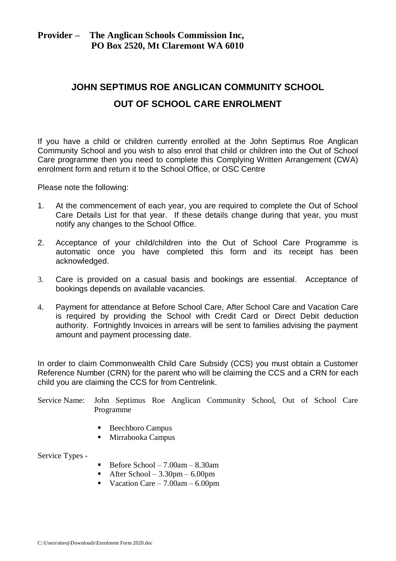# **Provider – The Anglican Schools Commission Inc, PO Box 2520, Mt Claremont WA 6010**

# **JOHN SEPTIMUS ROE ANGLICAN COMMUNITY SCHOOL OUT OF SCHOOL CARE ENROLMENT**

If you have a child or children currently enrolled at the John Septimus Roe Anglican Community School and you wish to also enrol that child or children into the Out of School Care programme then you need to complete this Complying Written Arrangement (CWA) enrolment form and return it to the School Office, or OSC Centre

Please note the following:

- 1. At the commencement of each year, you are required to complete the Out of School Care Details List for that year. If these details change during that year, you must notify any changes to the School Office.
- 2. Acceptance of your child/children into the Out of School Care Programme is automatic once you have completed this form and its receipt has been acknowledged.
- 3. Care is provided on a casual basis and bookings are essential. Acceptance of bookings depends on available vacancies.
- 4. Payment for attendance at Before School Care, After School Care and Vacation Care is required by providing the School with Credit Card or Direct Debit deduction authority. Fortnightly Invoices in arrears will be sent to families advising the payment amount and payment processing date.

In order to claim Commonwealth Child Care Subsidy (CCS) you must obtain a Customer Reference Number (CRN) for the parent who will be claiming the CCS and a CRN for each child you are claiming the CCS for from Centrelink.

Service Name: John Septimus Roe Anglican Community School, Out of School Care Programme

- Beechboro Campus
- Mirrabooka Campus

Service Types -

- Before School  $7.00am 8.30am$
- After School  $3.30$ pm  $6.00$ pm
- Vacation Care  $7.00am 6.00pm$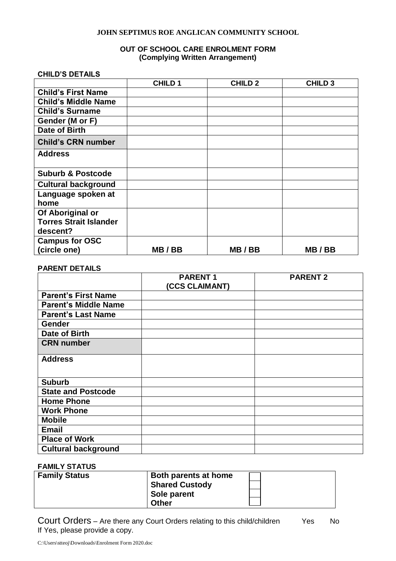### **JOHN SEPTIMUS ROE ANGLICAN COMMUNITY SCHOOL**

# **OUT OF SCHOOL CARE ENROLMENT FORM (Complying Written Arrangement)**

### **CHILD'S DETAILS**

|                               | <b>CHILD1</b> | <b>CHILD 2</b> | <b>CHILD 3</b> |
|-------------------------------|---------------|----------------|----------------|
| <b>Child's First Name</b>     |               |                |                |
| <b>Child's Middle Name</b>    |               |                |                |
| <b>Child's Surname</b>        |               |                |                |
| Gender (M or F)               |               |                |                |
| Date of Birth                 |               |                |                |
| <b>Child's CRN number</b>     |               |                |                |
| <b>Address</b>                |               |                |                |
| <b>Suburb &amp; Postcode</b>  |               |                |                |
| <b>Cultural background</b>    |               |                |                |
| Language spoken at            |               |                |                |
| home                          |               |                |                |
| Of Aboriginal or              |               |                |                |
| <b>Torres Strait Islander</b> |               |                |                |
| descent?                      |               |                |                |
| <b>Campus for OSC</b>         |               |                |                |
| (circle one)                  | MB/BB         | MB/BB          | MB/BB          |

## **PARENT DETAILS**

|                             | <b>PARENT1</b> | <b>PARENT 2</b> |
|-----------------------------|----------------|-----------------|
|                             | (CCS CLAIMANT) |                 |
| <b>Parent's First Name</b>  |                |                 |
| <b>Parent's Middle Name</b> |                |                 |
| <b>Parent's Last Name</b>   |                |                 |
| <b>Gender</b>               |                |                 |
| Date of Birth               |                |                 |
| <b>CRN</b> number           |                |                 |
| <b>Address</b>              |                |                 |
| <b>Suburb</b>               |                |                 |
| <b>State and Postcode</b>   |                |                 |
| <b>Home Phone</b>           |                |                 |
| <b>Work Phone</b>           |                |                 |
| <b>Mobile</b>               |                |                 |
| <b>Email</b>                |                |                 |
| <b>Place of Work</b>        |                |                 |
| <b>Cultural background</b>  |                |                 |

# **FAMILY STATUS**

| <b>Family Status</b> | Both parents at home<br><b>Shared Custody</b> |  |
|----------------------|-----------------------------------------------|--|
|                      | Sole parent<br><b>Other</b>                   |  |

Court Orders – Are there any Court Orders relating to this child/children Yes No If Yes, please provide a copy.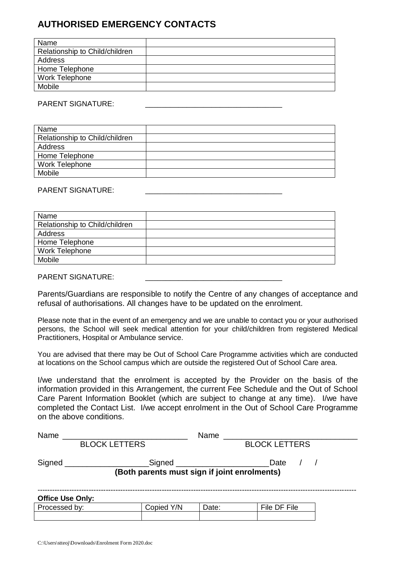# **AUTHORISED EMERGENCY CONTACTS**

| Name                           |  |
|--------------------------------|--|
| Relationship to Child/children |  |
| Address                        |  |
| Home Telephone                 |  |
| <b>Work Telephone</b>          |  |
| Mobile                         |  |

#### PARENT SIGNATURE:

| Name                           |  |
|--------------------------------|--|
| Relationship to Child/children |  |
| Address                        |  |
| Home Telephone                 |  |
| <b>Work Telephone</b>          |  |
| Mobile                         |  |

### PARENT SIGNATURE:

| Name                           |  |
|--------------------------------|--|
| Relationship to Child/children |  |
| Address                        |  |
| Home Telephone                 |  |
| Work Telephone                 |  |
| Mobile                         |  |
|                                |  |

## PARENT SIGNATURE:

Parents/Guardians are responsible to notify the Centre of any changes of acceptance and refusal of authorisations. All changes have to be updated on the enrolment.

Please note that in the event of an emergency and we are unable to contact you or your authorised persons, the School will seek medical attention for your child/children from registered Medical Practitioners, Hospital or Ambulance service.

You are advised that there may be Out of School Care Programme activities which are conducted at locations on the School campus which are outside the registered Out of School Care area.

I/we understand that the enrolment is accepted by the Provider on the basis of the information provided in this Arrangement, the current Fee Schedule and the Out of School Care Parent Information Booklet (which are subject to change at any time). I/we have completed the Contact List. I/we accept enrolment in the Out of School Care Programme on the above conditions.

| Name                    |                                              | Name  |                      |  |
|-------------------------|----------------------------------------------|-------|----------------------|--|
|                         | <b>BLOCK LETTERS</b>                         |       | <b>BLOCK LETTERS</b> |  |
| Signed                  | _Signed _____________________                |       | Date                 |  |
|                         | (Both parents must sign if joint enrolments) |       |                      |  |
| <b>Office Use Only:</b> |                                              |       |                      |  |
| Processed by:           | Copied Y/N                                   | Date: | File DF File         |  |
|                         |                                              |       |                      |  |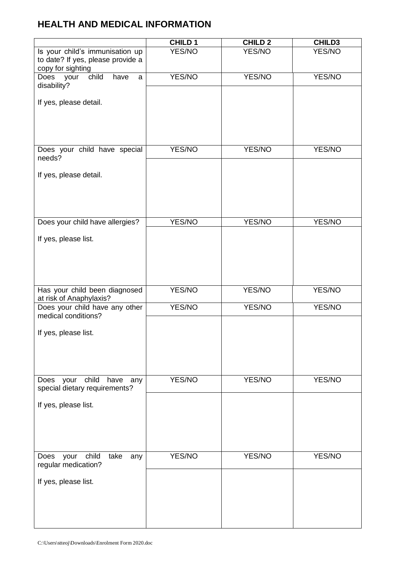# **HEALTH AND MEDICAL INFORMATION**

|                                                                                           | <b>CHILD 1</b> | <b>CHILD 2</b> | <b>CHILD3</b> |
|-------------------------------------------------------------------------------------------|----------------|----------------|---------------|
| Is your child's immunisation up<br>to date? If yes, please provide a<br>copy for sighting | YES/NO         | YES/NO         | YES/NO        |
| child<br>Does<br>have<br>your<br>a<br>disability?                                         | YES/NO         | YES/NO         | YES/NO        |
| If yes, please detail.                                                                    |                |                |               |
|                                                                                           |                |                |               |
| Does your child have special<br>needs?                                                    | YES/NO         | YES/NO         | YES/NO        |
| If yes, please detail.                                                                    |                |                |               |
|                                                                                           |                |                |               |
| Does your child have allergies?                                                           | YES/NO         | YES/NO         | <b>YES/NO</b> |
| If yes, please list.                                                                      |                |                |               |
|                                                                                           |                |                |               |
| Has your child been diagnosed<br>at risk of Anaphylaxis?                                  | YES/NO         | YES/NO         | YES/NO        |
| Does your child have any other<br>medical conditions?                                     | YES/NO         | YES/NO         | YES/NO        |
| If yes, please list.                                                                      |                |                |               |
|                                                                                           |                |                |               |
| child<br>your<br>have<br>Does<br>any<br>special dietary requirements?                     | YES/NO         | YES/NO         | YES/NO        |
| If yes, please list.                                                                      |                |                |               |
|                                                                                           |                |                |               |
| child<br>your<br>take<br>Does<br>any<br>regular medication?                               | YES/NO         | YES/NO         | YES/NO        |
| If yes, please list.                                                                      |                |                |               |
|                                                                                           |                |                |               |
|                                                                                           |                |                |               |